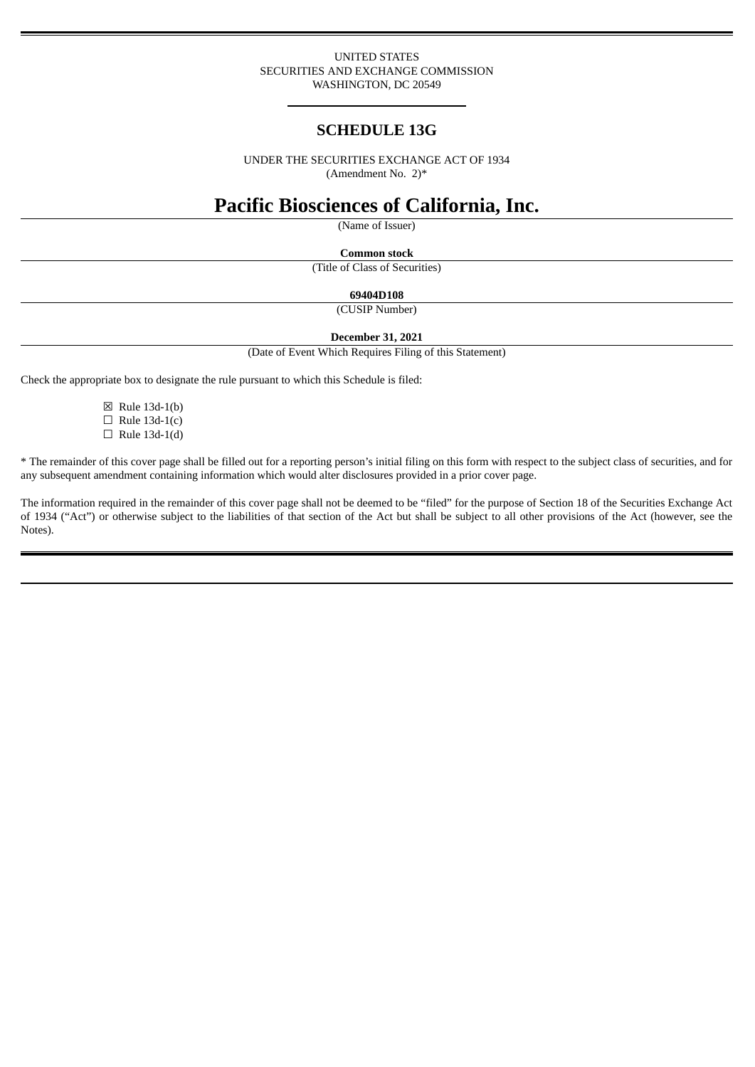### UNITED STATES SECURITIES AND EXCHANGE COMMISSION WASHINGTON, DC 20549

# **SCHEDULE 13G**

UNDER THE SECURITIES EXCHANGE ACT OF 1934 (Amendment No. 2)\*

# **Pacific Biosciences of California, Inc.**

(Name of Issuer)

**Common stock**

(Title of Class of Securities)

**69404D108**

(CUSIP Number)

**December 31, 2021**

(Date of Event Which Requires Filing of this Statement)

Check the appropriate box to designate the rule pursuant to which this Schedule is filed:

☒ Rule 13d-1(b)  $\Box$  Rule 13d-1(c)  $\Box$  Rule 13d-1(d)

\* The remainder of this cover page shall be filled out for a reporting person's initial filing on this form with respect to the subject class of securities, and for any subsequent amendment containing information which would alter disclosures provided in a prior cover page.

The information required in the remainder of this cover page shall not be deemed to be "filed" for the purpose of Section 18 of the Securities Exchange Act of 1934 ("Act") or otherwise subject to the liabilities of that section of the Act but shall be subject to all other provisions of the Act (however, see the Notes).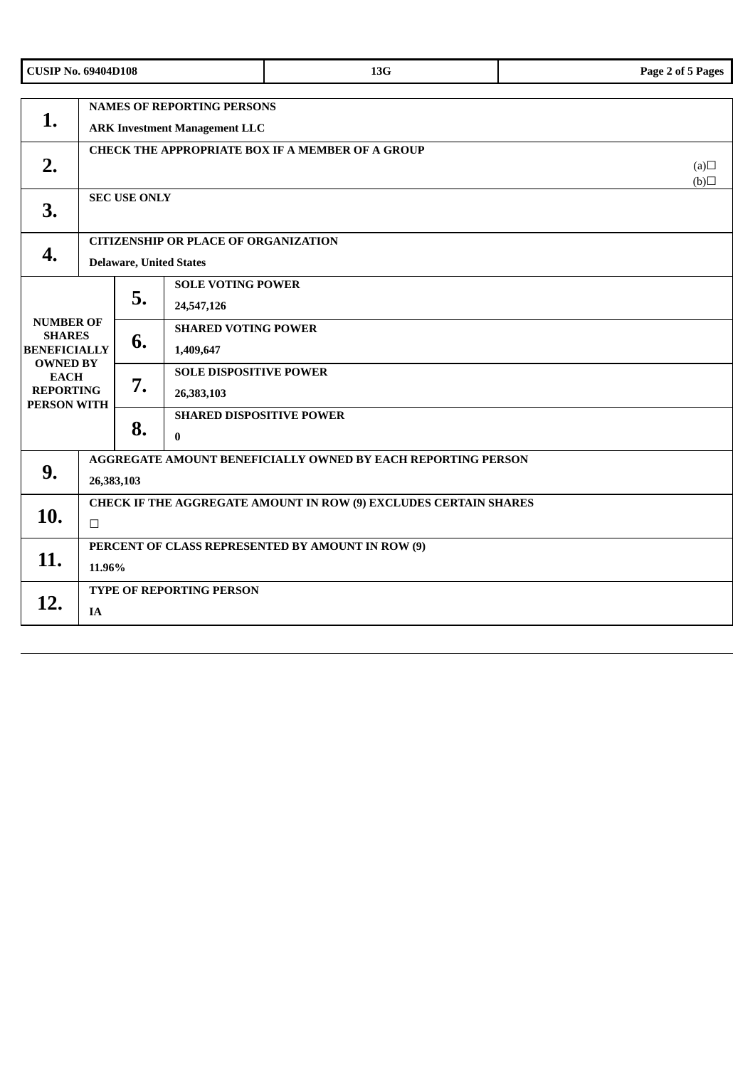|                                                                                                                                      | <b>CUSIP No. 69404D108</b>                                                    |            |                                             | 13G | Page 2 of 5 Pages |  |
|--------------------------------------------------------------------------------------------------------------------------------------|-------------------------------------------------------------------------------|------------|---------------------------------------------|-----|-------------------|--|
| 1.                                                                                                                                   | <b>NAMES OF REPORTING PERSONS</b><br><b>ARK Investment Management LLC</b>     |            |                                             |     |                   |  |
| 2.                                                                                                                                   | <b>CHECK THE APPROPRIATE BOX IF A MEMBER OF A GROUP</b>                       | (a)<br>(b) |                                             |     |                   |  |
| 3.                                                                                                                                   | <b>SEC USE ONLY</b>                                                           |            |                                             |     |                   |  |
| 4.                                                                                                                                   | <b>CITIZENSHIP OR PLACE OF ORGANIZATION</b><br><b>Delaware, United States</b> |            |                                             |     |                   |  |
| <b>NUMBER OF</b><br><b>SHARES</b><br><b>BENEFICIALLY</b><br><b>OWNED BY</b><br><b>EACH</b><br><b>REPORTING</b><br><b>PERSON WITH</b> |                                                                               | 5.         | <b>SOLE VOTING POWER</b><br>24,547,126      |     |                   |  |
|                                                                                                                                      |                                                                               | 6.         | <b>SHARED VOTING POWER</b><br>1,409,647     |     |                   |  |
|                                                                                                                                      |                                                                               | 7.         | <b>SOLE DISPOSITIVE POWER</b><br>26,383,103 |     |                   |  |
|                                                                                                                                      |                                                                               | 8.         | <b>SHARED DISPOSITIVE POWER</b><br>$\bf{0}$ |     |                   |  |
| 9.                                                                                                                                   | AGGREGATE AMOUNT BENEFICIALLY OWNED BY EACH REPORTING PERSON<br>26,383,103    |            |                                             |     |                   |  |
| 10.                                                                                                                                  | CHECK IF THE AGGREGATE AMOUNT IN ROW (9) EXCLUDES CERTAIN SHARES<br>$\Box$    |            |                                             |     |                   |  |
| 11.                                                                                                                                  | PERCENT OF CLASS REPRESENTED BY AMOUNT IN ROW (9)<br>11.96%                   |            |                                             |     |                   |  |
| 12.                                                                                                                                  | TYPE OF REPORTING PERSON<br>IA                                                |            |                                             |     |                   |  |
|                                                                                                                                      |                                                                               |            |                                             |     |                   |  |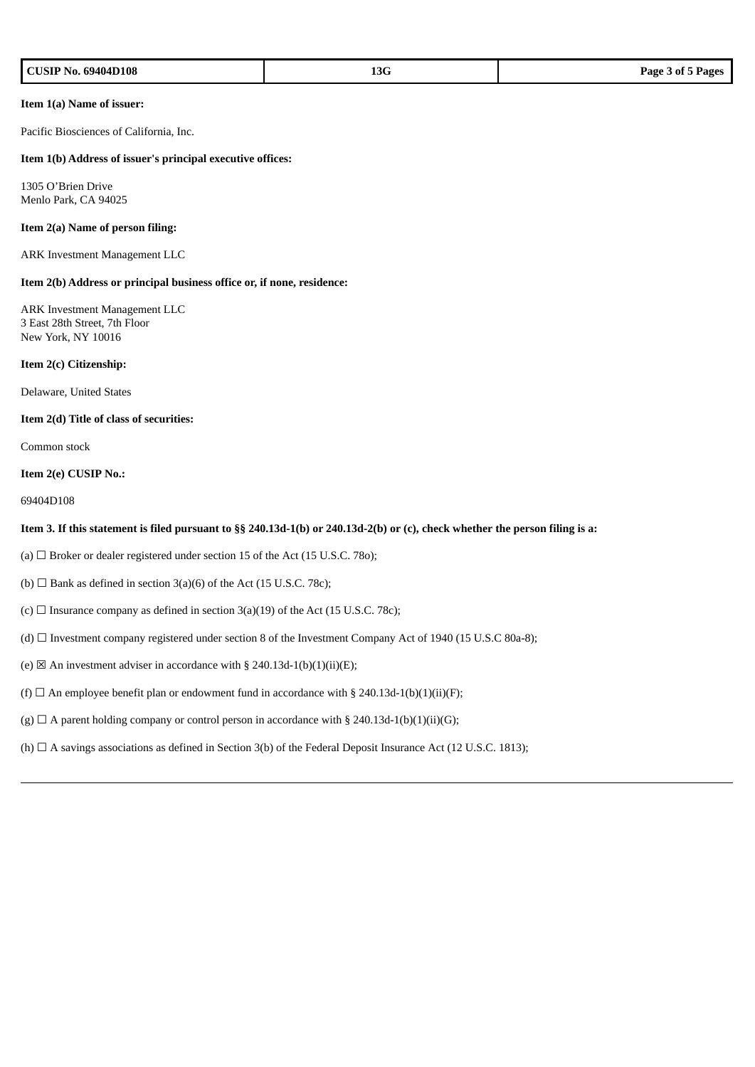| CUSIP No. 69404D108 | 13G | Page 3 of 5 Pages |
|---------------------|-----|-------------------|
|---------------------|-----|-------------------|

### **Item 1(a) Name of issuer:**

Pacific Biosciences of California, Inc.

### **Item 1(b) Address of issuer's principal executive offices:**

1305 O'Brien Drive Menlo Park, CA 94025

### **Item 2(a) Name of person filing:**

ARK Investment Management LLC

### **Item 2(b) Address or principal business office or, if none, residence:**

ARK Investment Management LLC 3 East 28th Street, 7th Floor New York, NY 10016

### **Item 2(c) Citizenship:**

Delaware, United States

#### **Item 2(d) Title of class of securities:**

Common stock

### **Item 2(e) CUSIP No.:**

69404D108

### Item 3. If this statement is filed pursuant to §§ 240.13d-1(b) or 240.13d-2(b) or (c), check whether the person filing is a:

- (a)  $\Box$  Broker or dealer registered under section 15 of the Act (15 U.S.C. 780);
- (b)  $\Box$  Bank as defined in section 3(a)(6) of the Act (15 U.S.C. 78c);
- (c)  $\Box$  Insurance company as defined in section 3(a)(19) of the Act (15 U.S.C. 78c);
- (d) ☐ Investment company registered under section 8 of the Investment Company Act of 1940 (15 U.S.C 80a-8);
- (e)  $\boxtimes$  An investment adviser in accordance with § 240.13d-1(b)(1)(ii)(E);
- (f)  $\Box$  An employee benefit plan or endowment fund in accordance with § 240.13d-1(b)(1)(ii)(F);
- (g)  $\Box$  A parent holding company or control person in accordance with § 240.13d-1(b)(1)(ii)(G);
- (h) □ A savings associations as defined in Section 3(b) of the Federal Deposit Insurance Act (12 U.S.C. 1813);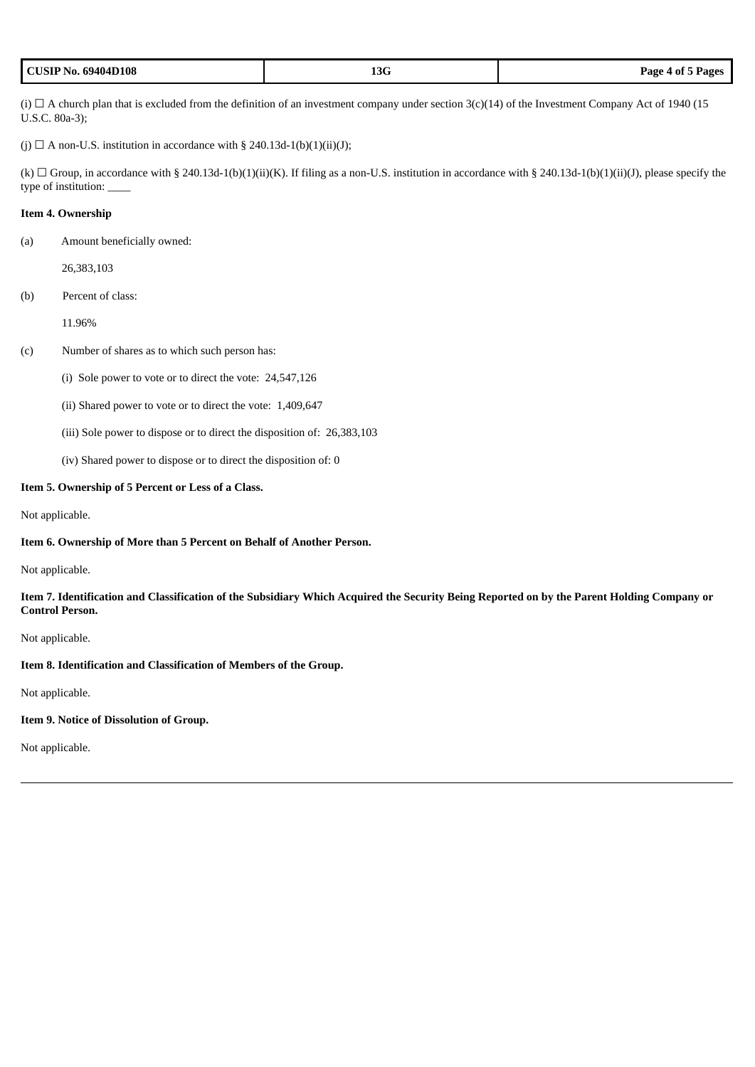| <b>CUSIP No. 69404D108</b> | .5V | Page 4 of 5 Pages |
|----------------------------|-----|-------------------|
|----------------------------|-----|-------------------|

(i)  $\Box$  A church plan that is excluded from the definition of an investment company under section 3(c)(14) of the Investment Company Act of 1940 (15 U.S.C. 80a-3);

(j)  $\Box$  A non-U.S. institution in accordance with § 240.13d-1(b)(1)(ii)(J);

(k)  $\Box$  Group, in accordance with § 240.13d-1(b)(1)(ii)(K). If filing as a non-U.S. institution in accordance with § 240.13d-1(b)(1)(ii)(J), please specify the type of institution: \_\_\_\_

## **Item 4. Ownership**

(a) Amount beneficially owned:

26,383,103

(b) Percent of class:

11.96%

#### (c) Number of shares as to which such person has:

(i) Sole power to vote or to direct the vote: 24,547,126

(ii) Shared power to vote or to direct the vote: 1,409,647

(iii) Sole power to dispose or to direct the disposition of: 26,383,103

(iv) Shared power to dispose or to direct the disposition of: 0

### **Item 5. Ownership of 5 Percent or Less of a Class.**

Not applicable.

### **Item 6. Ownership of More than 5 Percent on Behalf of Another Person.**

Not applicable.

### Item 7. Identification and Classification of the Subsidiary Which Acquired the Security Being Reported on by the Parent Holding Company or **Control Person.**

Not applicable.

### **Item 8. Identification and Classification of Members of the Group.**

Not applicable.

## **Item 9. Notice of Dissolution of Group.**

Not applicable.